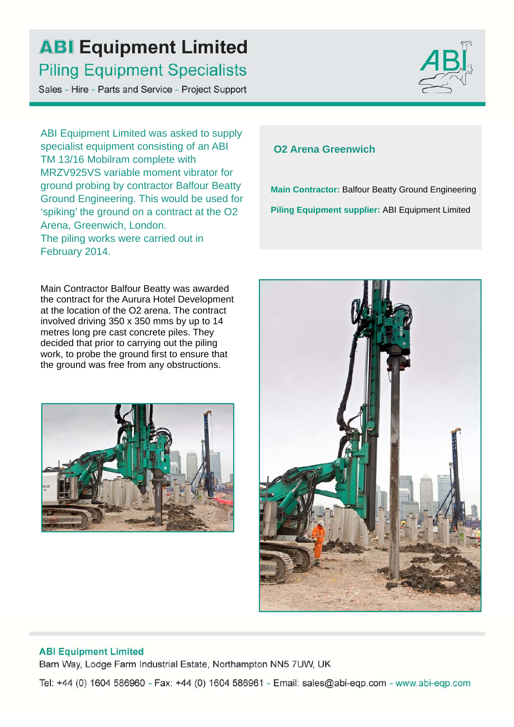## **ABI Equipment Limited Piling Equipment Specialists**

Sales - Hire - Parts and Service - Project Support



ABI Equipment Limited was asked to supply specialist equipment consisting of an ABI TM 13/16 Mobilram complete with MRZV925VS variable moment vibrator for ground probing by contractor Balfour Beatty Ground Engineering. This would be used for 'spiking' the ground on a contract at the O2 Arena, Greenwich, London. The piling works were carried out in February 2014.

Main Contractor Balfour Beatty was awarded the contract for the Aurura Hotel Development at the location of the O2 arena. The contract involved driving 350 x 350 mms by up to 14 metres long pre cast concrete piles. They decided that prior to carrying out the piling work, to probe the ground first to ensure that the ground was free from any obstructions.



### **O2 Arena Greenwich**

**Main Contractor:** Balfour Beatty Ground Engineering **Piling Equipment supplier:** ABI Equipment Limited



### **ABI Equipment Limited**

Barn Way, Lodge Farm Industrial Estate, Northampton NN5 7UW, UK

Tel: +44 (0) 1604 586960 - Fax: +44 (0) 1604 586961 - Email: sales@abi-eqp.com - www.abi-eqp.com